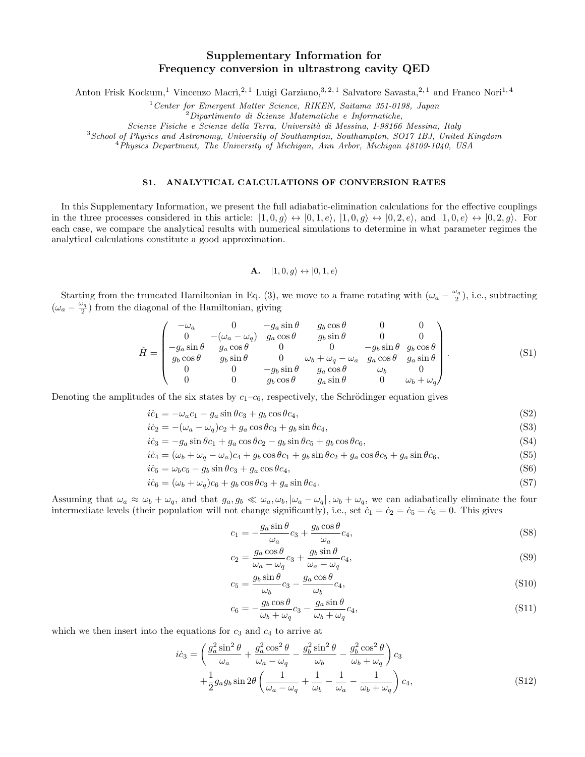# Supplementary Information for Frequency conversion in ultrastrong cavity QED

Anton Frisk Kockum,<sup>1</sup> Vincenzo Macrì,<sup>2, 1</sup> Luigi Garziano,<sup>3, 2, 1</sup> Salvatore Savasta,<sup>2, 1</sup> and Franco Nori<sup>1, 4</sup>

 $1$  Center for Emergent Matter Science, RIKEN, Saitama 351-0198, Japan

<sup>2</sup>Dipartimento di Scienze Matematiche e Informatiche,

Scienze Fisiche e Scienze della Terra, Università di Messina, I-98166 Messina, Italy

<sup>3</sup>School of Physics and Astronomy, University of Southampton, Southampton, SO17 1BJ, United Kingdom

<sup>4</sup>Physics Department, The University of Michigan, Ann Arbor, Michigan 48109-1040, USA

### S1. ANALYTICAL CALCULATIONS OF CONVERSION RATES

In this Supplementary Information, we present the full adiabatic-elimination calculations for the effective couplings in the three processes considered in this article:  $|1,0,g\rangle \leftrightarrow |0,1,e\rangle, |1,0,g\rangle \leftrightarrow |0,2,e\rangle$ , and  $|1,0,e\rangle \leftrightarrow |0,2,g\rangle$ . For each case, we compare the analytical results with numerical simulations to determine in what parameter regimes the analytical calculations constitute a good approximation.

**A.** 
$$
|1,0,g\rangle \leftrightarrow |0,1,e\rangle
$$

Starting from the truncated Hamiltonian in Eq. (3), we move to a frame rotating with  $(\omega_a - \frac{\omega_q}{2})$ , i.e., subtracting  $(\omega_a - \frac{\omega_q}{2})$  from the diagonal of the Hamiltonian, giving

$$
\hat{H} = \begin{pmatrix}\n-\omega_a & 0 & -g_a \sin \theta & g_b \cos \theta & 0 & 0 \\
0 & -(\omega_a - \omega_q) & g_a \cos \theta & g_b \sin \theta & 0 & 0 \\
-g_a \sin \theta & g_a \cos \theta & 0 & 0 & -g_b \sin \theta & g_b \cos \theta \\
g_b \cos \theta & g_b \sin \theta & 0 & \omega_b + \omega_q - \omega_a & g_a \cos \theta & g_a \sin \theta \\
0 & 0 & -g_b \sin \theta & g_a \cos \theta & \omega_b & 0 \\
0 & 0 & g_b \cos \theta & g_a \sin \theta & 0 & \omega_b + \omega_q\n\end{pmatrix}.
$$
\n(S1)

Denoting the amplitudes of the six states by  $c_1-c_6$ , respectively, the Schrödinger equation gives

$$
i\dot{c}_1 = -\omega_a c_1 - g_a \sin \theta c_3 + g_b \cos \theta c_4,\tag{S2}
$$

$$
i\dot{c}_2 = -(\omega_a - \omega_q)c_2 + g_a \cos \theta c_3 + g_b \sin \theta c_4, \tag{S3}
$$

$$
i\dot{c}_3 = -g_a \sin \theta c_1 + g_a \cos \theta c_2 - g_b \sin \theta c_5 + g_b \cos \theta c_6, \tag{S4}
$$

$$
i\dot{c}_4 = (\omega_b + \omega_q - \omega_a)c_4 + g_b \cos\theta c_1 + g_b \sin\theta c_2 + g_a \cos\theta c_5 + g_a \sin\theta c_6, \tag{S5}
$$

$$
i\dot{c}_5 = \omega_b c_5 - g_b \sin \theta c_3 + g_a \cos \theta c_4,\tag{S6}
$$

$$
i\dot{c}_6 = (\omega_b + \omega_q)c_6 + g_b \cos\theta c_3 + g_a \sin\theta c_4. \tag{S7}
$$

Assuming that  $\omega_a \approx \omega_b + \omega_q$ , and that  $g_a, g_b \ll \omega_a, \omega_b, |\omega_a - \omega_q|, \omega_b + \omega_q$ , we can adiabatically eliminate the four intermediate levels (their population will not change significantly), i.e., set  $c_1 = c_2 = c_5 = c_6 = 0$ . This gives

$$
c_1 = -\frac{g_a \sin \theta}{\omega_a} c_3 + \frac{g_b \cos \theta}{\omega_a} c_4,\tag{S8}
$$

$$
c_2 = \frac{g_a \cos \theta}{\omega_a - \omega_q} c_3 + \frac{g_b \sin \theta}{\omega_a - \omega_q} c_4,
$$
\n(S9)

$$
c_5 = \frac{g_b \sin \theta}{\omega_b} c_3 - \frac{g_a \cos \theta}{\omega_b} c_4,\tag{S10}
$$

$$
c_6 = -\frac{g_b \cos \theta}{\omega_b + \omega_q} c_3 - \frac{g_a \sin \theta}{\omega_b + \omega_q} c_4,
$$
\n(S11)

which we then insert into the equations for  $c_3$  and  $c_4$  to arrive at

$$
i\dot{c}_3 = \left(\frac{g_a^2 \sin^2 \theta}{\omega_a} + \frac{g_a^2 \cos^2 \theta}{\omega_a - \omega_q} - \frac{g_b^2 \sin^2 \theta}{\omega_b} - \frac{g_b^2 \cos^2 \theta}{\omega_b + \omega_q}\right) c_3
$$

$$
+ \frac{1}{2} g_a g_b \sin 2\theta \left(\frac{1}{\omega_a - \omega_q} + \frac{1}{\omega_b} - \frac{1}{\omega_a} - \frac{1}{\omega_b + \omega_q}\right) c_4,
$$
(S12)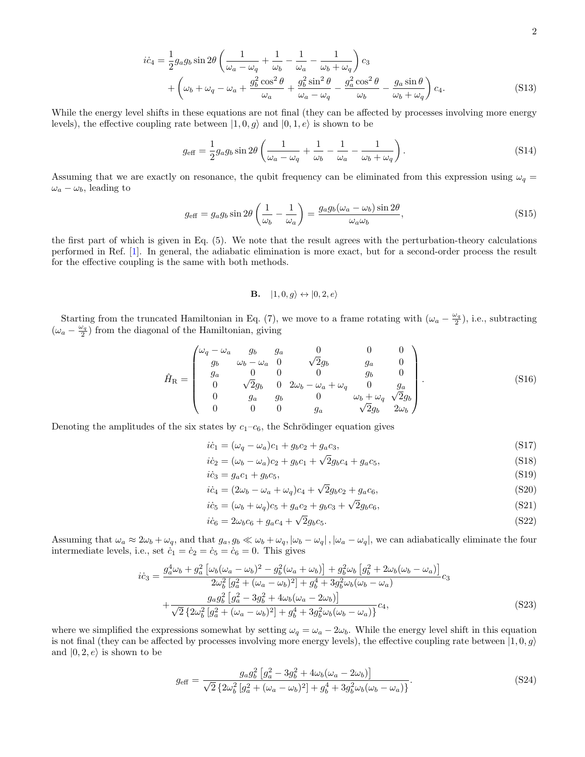$$
i\dot{c}_4 = \frac{1}{2}g_a g_b \sin 2\theta \left(\frac{1}{\omega_a - \omega_q} + \frac{1}{\omega_b} - \frac{1}{\omega_a} - \frac{1}{\omega_b + \omega_q}\right) c_3
$$
  
+ 
$$
\left(\omega_b + \omega_q - \omega_a + \frac{g_b^2 \cos^2 \theta}{\omega_a} + \frac{g_b^2 \sin^2 \theta}{\omega_a - \omega_q} - \frac{g_a^2 \cos^2 \theta}{\omega_b} - \frac{g_a \sin \theta}{\omega_b + \omega_q}\right) c_4.
$$
 (S13)

While the energy level shifts in these equations are not final (they can be affected by processes involving more energy levels), the effective coupling rate between  $|1, 0, g\rangle$  and  $|0, 1, e\rangle$  is shown to be

$$
g_{\text{eff}} = \frac{1}{2} g_a g_b \sin 2\theta \left( \frac{1}{\omega_a - \omega_q} + \frac{1}{\omega_b} - \frac{1}{\omega_a} - \frac{1}{\omega_b + \omega_q} \right). \tag{S14}
$$

Assuming that we are exactly on resonance, the qubit frequency can be eliminated from this expression using  $\omega_q =$  $\omega_a - \omega_b$ , leading to

$$
g_{\text{eff}} = g_a g_b \sin 2\theta \left(\frac{1}{\omega_b} - \frac{1}{\omega_a}\right) = \frac{g_a g_b (\omega_a - \omega_b) \sin 2\theta}{\omega_a \omega_b},\tag{S15}
$$

the first part of which is given in Eq. (5). We note that the result agrees with the perturbation-theory calculations performed in Ref. [\[1\]](#page-3-0). In general, the adiabatic elimination is more exact, but for a second-order process the result for the effective coupling is the same with both methods.

## **B.**  $|1, 0, g\rangle \leftrightarrow |0, 2, e\rangle$

Starting from the truncated Hamiltonian in Eq. (7), we move to a frame rotating with  $(\omega_a - \frac{\omega_q}{2})$ , i.e., subtracting  $(\omega_a - \frac{\omega_q}{2})$  from the diagonal of the Hamiltonian, giving

$$
\hat{H}_{\rm R} = \begin{pmatrix}\n\omega_q - \omega_a & g_b & g_a & 0 & 0 & 0 \\
g_b & \omega_b - \omega_a & 0 & \sqrt{2}g_b & g_a & 0 \\
g_a & 0 & 0 & 0 & g_b & 0 \\
0 & \sqrt{2}g_b & 0 & 2\omega_b - \omega_a + \omega_q & 0 & g_a \\
0 & g_a & g_b & 0 & \omega_b + \omega_q & \sqrt{2}g_b \\
0 & 0 & 0 & g_a & \sqrt{2}g_b & 2\omega_b\n\end{pmatrix}.
$$
\n(S16)

Denoting the amplitudes of the six states by  $c_1-c_6$ , the Schrödinger equation gives

$$
ic_1 = (\omega_q - \omega_a)c_1 + g_b c_2 + g_a c_3,\tag{S17}
$$

$$
i\dot{c}_2 = (\omega_b - \omega_a)c_2 + g_b c_1 + \sqrt{2g_b c_4 + g_a c_5},\tag{S18}
$$

$$
ic_3 = g_a c_1 + g_b c_5,\tag{S19}
$$

$$
ic_4 = (2\omega_b - \omega_a + \omega_q)c_4 + \sqrt{2g_b c_2 + g_a c_6},
$$
\n(S20)

$$
i\dot{c}_5 = (\omega_b + \omega_q)c_5 + g_a c_2 + g_b c_3 + \sqrt{2g_b c_6},\tag{S21}
$$

$$
i\dot{c}_6 = 2\omega_b c_6 + g_a c_4 + \sqrt{2}g_b c_5. \tag{S22}
$$

Assuming that  $\omega_a \approx 2\omega_b + \omega_q$ , and that  $g_a, g_b \ll \omega_b + \omega_q$ ,  $|\omega_b - \omega_q|$ ,  $|\omega_a - \omega_q|$ , we can adiabatically eliminate the four intermediate levels, i.e., set  $\dot{c}_1 = \dot{c}_2 = \dot{c}_5 = \dot{c}_6 = 0$ . This gives

$$
i\dot{c}_3 = \frac{g_a^4 \omega_b + g_a^2 \left[ \omega_b (\omega_a - \omega_b)^2 - g_b^2 (\omega_a + \omega_b) \right] + g_b^2 \omega_b \left[ g_b^2 + 2 \omega_b (\omega_b - \omega_a) \right]}{2 \omega_b^2 \left[ g_a^2 + (\omega_a - \omega_b)^2 \right] + g_b^4 + 3 g_b^2 \omega_b (\omega_b - \omega_a)} c_3 + \frac{g_a g_b^2 \left[ g_a^2 - 3 g_b^2 + 4 \omega_b (\omega_a - 2 \omega_b) \right]}{\sqrt{2} \left\{ 2 \omega_b^2 \left[ g_a^2 + (\omega_a - \omega_b)^2 \right] + g_b^4 + 3 g_b^2 \omega_b (\omega_b - \omega_a) \right\}} c_4,
$$
\n(S23)

where we simplified the expressions somewhat by setting  $\omega_q = \omega_a - 2\omega_b$ . While the energy level shift in this equation is not final (they can be affected by processes involving more energy levels), the effective coupling rate between  $|1, 0, g\rangle$ and  $|0, 2, e \rangle$  is shown to be

$$
g_{\text{eff}} = \frac{g_a g_b^2 \left[ g_a^2 - 3g_b^2 + 4\omega_b(\omega_a - 2\omega_b) \right]}{\sqrt{2} \left\{ 2\omega_b^2 \left[ g_a^2 + (\omega_a - \omega_b)^2 \right] + g_b^4 + 3g_b^2 \omega_b(\omega_b - \omega_a) \right\}}.
$$
\n(S24)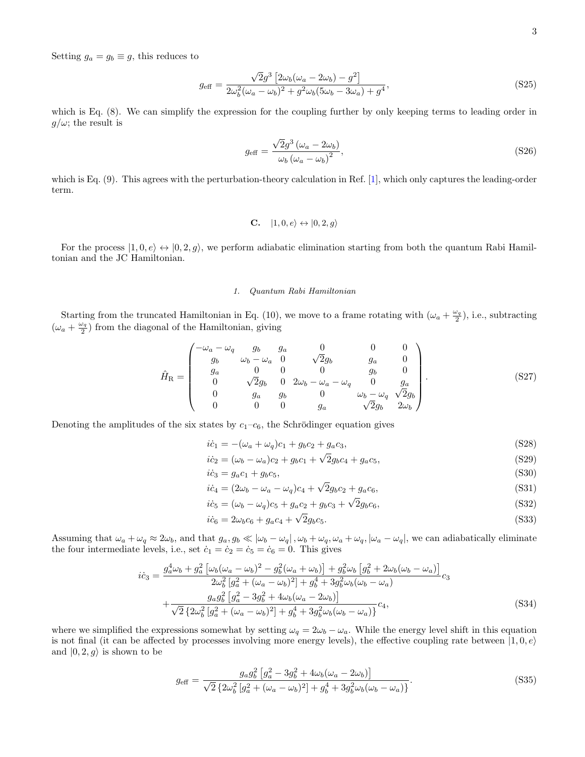Setting  $g_a = g_b \equiv g$ , this reduces to

$$
g_{\text{eff}} = \frac{\sqrt{2}g^3 \left[2\omega_b(\omega_a - 2\omega_b) - g^2\right]}{2\omega_b^2(\omega_a - \omega_b)^2 + g^2\omega_b(5\omega_b - 3\omega_a) + g^4},\tag{S25}
$$

which is Eq. (8). We can simplify the expression for the coupling further by only keeping terms to leading order in  $g/\omega$ ; the result is

$$
g_{\text{eff}} = \frac{\sqrt{2}g^3 \left(\omega_a - 2\omega_b\right)}{\omega_b \left(\omega_a - \omega_b\right)^2},\tag{S26}
$$

which is Eq. (9). This agrees with the perturbation-theory calculation in Ref. [\[1\]](#page-3-0), which only captures the leading-order term.

$$
C. \quad |1,0,e\rangle \leftrightarrow |0,2,g\rangle
$$

For the process  $|1, 0, e\rangle \leftrightarrow |0, 2, g\rangle$ , we perform adiabatic elimination starting from both the quantum Rabi Hamiltonian and the JC Hamiltonian.

### 1. Quantum Rabi Hamiltonian

Starting from the truncated Hamiltonian in Eq. (10), we move to a frame rotating with  $(\omega_a + \frac{\omega_q}{2})$ , i.e., subtracting  $(\omega_a + \frac{\omega_q}{2})$  from the diagonal of the Hamiltonian, giving

$$
\hat{H}_{\rm R} = \begin{pmatrix}\n-\omega_a - \omega_q & g_b & g_a & 0 & 0 & 0 \\
g_b & \omega_b - \omega_a & 0 & \sqrt{2}g_b & g_a & 0 \\
g_a & 0 & 0 & 0 & g_b & 0 \\
0 & \sqrt{2}g_b & 0 & 2\omega_b - \omega_a - \omega_q & 0 & g_a \\
0 & g_a & g_b & 0 & \omega_b - \omega_q & \sqrt{2}g_b \\
0 & 0 & 0 & g_a & \sqrt{2}g_b & 2\omega_b\n\end{pmatrix}.
$$
\n(S27)

Denoting the amplitudes of the six states by  $c_1-c_6$ , the Schrödinger equation gives

$$
ic_1 = -(\omega_a + \omega_q)c_1 + g_b c_2 + g_a c_3,\tag{S28}
$$

$$
ic_2 = (\omega_b - \omega_a)c_2 + g_b c_1 + \sqrt{2g_b c_4 + g_a c_5},
$$
\n(S29)

$$
ic_3 = g_a c_1 + g_b c_5,\tag{S30}
$$

$$
ic_4 = (2\omega_b - \omega_a - \omega_q)c_4 + \sqrt{2g_b c_2 + g_a c_6},
$$
\n(S31)

$$
i\dot{c}_5 = (\omega_b - \omega_q)c_5 + g_a c_2 + g_b c_3 + \sqrt{2g_b c_6},\tag{S32}
$$

$$
i\dot{c}_6 = 2\omega_b c_6 + g_a c_4 + \sqrt{2g_b c_5}.\tag{S33}
$$

Assuming that  $\omega_a + \omega_q \approx 2\omega_b$ , and that  $g_a, g_b \ll |\omega_b - \omega_q|$ ,  $\omega_b + \omega_q, \omega_a + \omega_q, |\omega_a - \omega_q|$ , we can adiabatically eliminate the four intermediate levels, i.e., set  $\dot{c}_1 = \dot{c}_2 = \dot{c}_5 = \dot{c}_6 = 0$ . This gives

$$
i\dot{c}_3 = \frac{g_a^4 \omega_b + g_a^2 \left[ \omega_b (\omega_a - \omega_b)^2 - g_b^2 (\omega_a + \omega_b) \right] + g_b^2 \omega_b \left[ g_b^2 + 2 \omega_b (\omega_b - \omega_a) \right]}{2 \omega_b^2 \left[ g_a^2 + (\omega_a - \omega_b)^2 \right] + g_b^4 + 3 g_b^2 \omega_b (\omega_b - \omega_a)} c_3 + \frac{g_a g_b^2 \left[ g_a^2 - 3 g_b^2 + 4 \omega_b (\omega_a - 2 \omega_b) \right]}{\sqrt{2} \left\{ 2 \omega_b^2 \left[ g_a^2 + (\omega_a - \omega_b)^2 \right] + g_b^4 + 3 g_b^2 \omega_b (\omega_b - \omega_a) \right\}} c_4,
$$
\n(S34)

where we simplified the expressions somewhat by setting  $\omega_q = 2\omega_b - \omega_a$ . While the energy level shift in this equation is not final (it can be affected by processes involving more energy levels), the effective coupling rate between  $|1, 0, e\rangle$ and  $|0, 2, g\rangle$  is shown to be

$$
g_{\text{eff}} = \frac{g_a g_b^2 \left[ g_a^2 - 3g_b^2 + 4\omega_b(\omega_a - 2\omega_b) \right]}{\sqrt{2} \left\{ 2\omega_b^2 \left[ g_a^2 + (\omega_a - \omega_b)^2 \right] + g_b^4 + 3g_b^2 \omega_b(\omega_b - \omega_a) \right\}}.
$$
(S35)